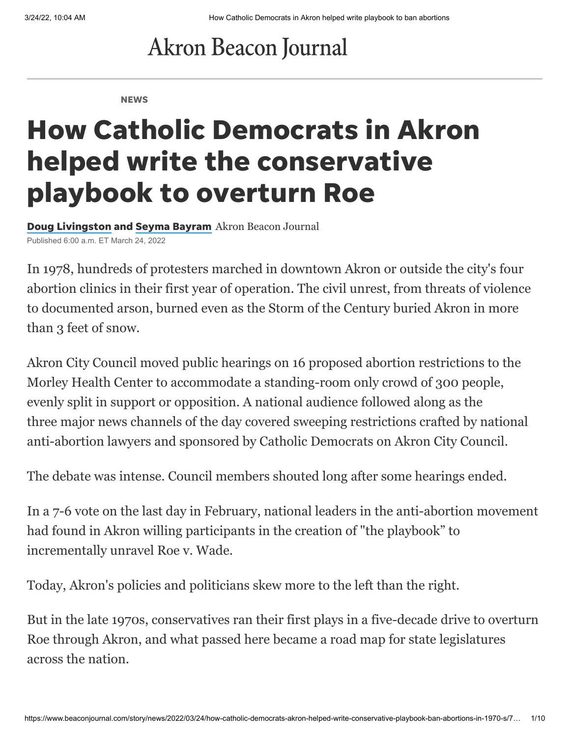## **Akron Beacon Journal**

**NEWS** 

# How Catholic Democrats in Akron helped write the conservative playbook to overturn Roe

Doug [Livingston](https://www.beaconjournal.com/staff/5750709002/doug-livingston/) and Seyma [Bayram](https://www.beaconjournal.com/staff/5694198002/seyma-bayram/) Akron Beacon Journal Published 6:00 a.m. ET March 24, 2022

In 1978, hundreds of protesters marched in downtown Akron or outside the city's four abortion clinics in their first year of operation. The civil unrest, from threats of violence to documented arson, burned even as the Storm of the Century buried Akron in more than 3 feet of snow.

Akron City Council moved public hearings on 16 proposed abortion restrictions to the Morley Health Center to accommodate a standing-room only crowd of 300 people, evenly split in support or opposition. A national audience followed along as the three major news channels of the day covered sweeping restrictions crafted by national anti-abortion lawyers and sponsored by Catholic Democrats on Akron City Council.

The debate was intense. Council members shouted long after some hearings ended.

In a 7-6 vote on the last day in February, national leaders in the anti-abortion movement had found in Akron willing participants in the creation of "the playbook" to incrementally unravel Roe v. Wade.

Today, Akron's policies and politicians skew more to the left than the right.

But in the late 1970s, conservatives ran their first plays in a five-decade drive to overturn Roe through Akron, and what passed here became a road map for state legislatures across the nation.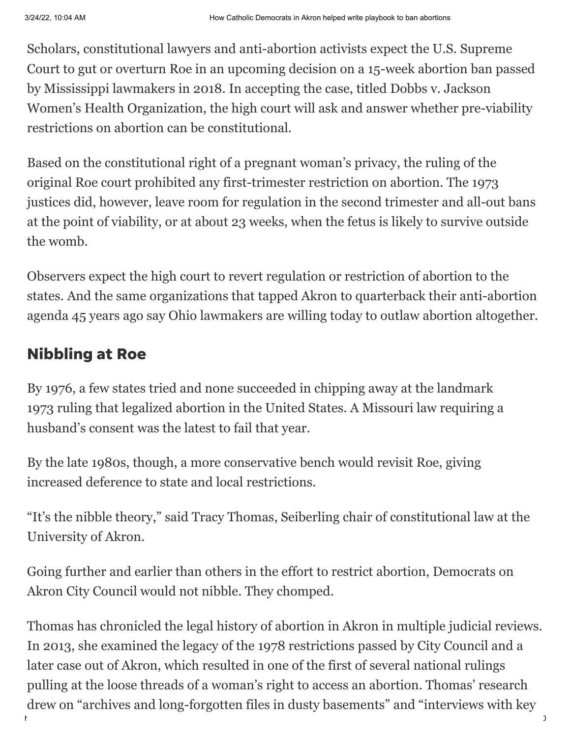Scholars, constitutional lawyers and anti-abortion activists expect the U.S. Supreme Court to gut or overturn Roe in an upcoming decision on a 15-week abortion ban passed by Mississippi lawmakers in 2018. In accepting the case, titled Dobbs v. Jackson Women's Health Organization, the high court will ask and answer whether pre-viability restrictions on abortion can be constitutional.

Based on the constitutional right of a pregnant woman's privacy, the ruling of the original Roe court prohibited any first-trimester restriction on abortion. The 1973 justices did, however, leave room for regulation in the second trimester and all-out bans at the point of viability, or at about 23 weeks, when the fetus is likely to survive outside the womb.

Observers expect the high court to revert regulation or restriction of abortion to the states. And the same organizations that tapped Akron to quarterback their anti-abortion agenda 45 years ago say Ohio lawmakers are willing today to outlaw abortion altogether.

#### Nibbling at Roe

By 1976, a few states tried and none succeeded in chipping away at the landmark 1973 ruling that legalized abortion in the United States. A Missouri law requiring a husband's consent was the latest to fail that year.

By the late 1980s, though, a more conservative bench would revisit Roe, giving increased deference to state and local restrictions.

"It's the nibble theory," said Tracy Thomas, Seiberling chair of constitutional law at the University of Akron.

Going further and earlier than others in the effort to restrict abortion, Democrats on Akron City Council would not nibble. They chomped.

https://www.beaconjournal.com/story/news/2022/03/24/how-catholic-democrats-akron-helped-write-conservative-playbook-ban-abortions-in-1970-s/7… 2/10 Thomas has [chronicled](https://ideaexchange.uakron.edu/cgi/viewcontent.cgi?article=1188&context=ua_law_publications) the legal history of abortion in Akron in multiple judicial reviews. In 2013, she examined the legacy of the 1978 restrictions passed by City Council and a later case out of Akron, which resulted in one of the first of several national rulings pulling at the loose threads of a woman's right to access an abortion. Thomas' research drew on "archives and long-forgotten files in dusty basements" and "interviews with key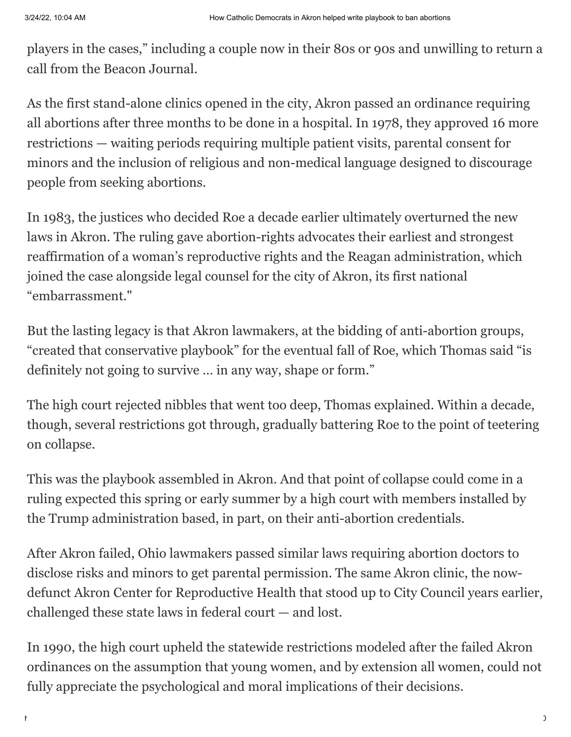players in the cases," including a couple now in their 80s or 90s and unwilling to return a call from the Beacon Journal.

As the first stand-alone clinics opened in the city, Akron passed an ordinance requiring all abortions after three months to be done in a hospital. In 1978, they approved 16 more restrictions — waiting periods requiring multiple patient visits, parental consent for minors and the inclusion of religious and non-medical language designed to discourage people from seeking abortions.

In 1983, the justices who decided Roe a decade earlier ultimately overturned the new laws in Akron. The ruling gave abortion-rights advocates their earliest and strongest reaffirmation of a woman's reproductive rights and the Reagan administration, which joined the case alongside legal counsel for the city of Akron, its first national "embarrassment."

But the lasting legacy is that Akron lawmakers, at the bidding of anti-abortion groups, "created that conservative playbook" for the eventual fall of Roe, which Thomas said "is definitely not going to survive … in any way, shape or form."

The high court rejected nibbles that went too deep, Thomas explained. Within a decade, though, several restrictions got through, gradually battering Roe to the point of teetering on collapse.

This was the playbook assembled in Akron. And that point of collapse could come in a ruling expected this spring or early summer by a high court with members installed by the Trump administration based, in part, on their anti-abortion credentials.

After Akron failed, Ohio lawmakers passed similar laws requiring abortion doctors to disclose risks and minors to get parental permission. The same Akron clinic, the nowdefunct Akron Center for Reproductive Health that stood up to City Council years earlier, challenged these state laws in federal court — and lost.

In 1990, the high court upheld the statewide restrictions modeled after the failed Akron ordinances on the assumption that young women, and by extension all women, could not fully appreciate the psychological and moral implications of their decisions.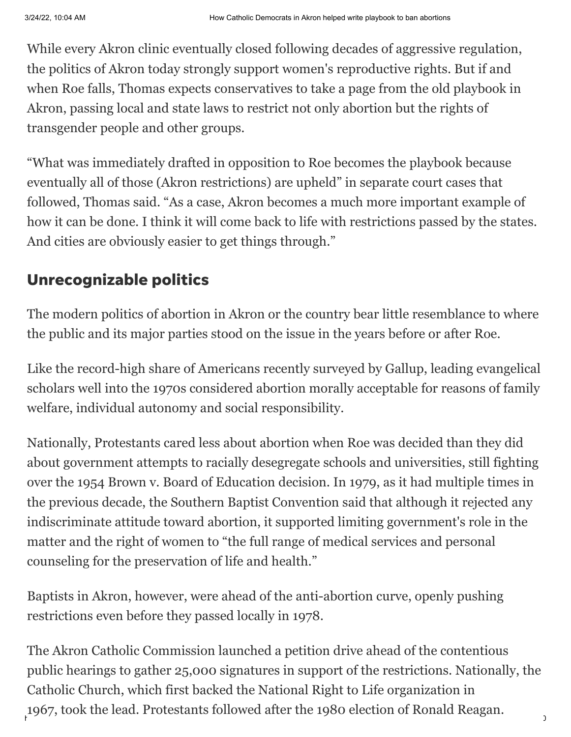While every Akron clinic eventually closed following decades of aggressive regulation, the politics of Akron today strongly support women's reproductive rights. But if and when Roe falls, Thomas expects conservatives to take a page from the old playbook in Akron, passing local and state laws to restrict not only abortion but the rights of transgender people and other groups.

"What was immediately drafted in opposition to Roe becomes the playbook because eventually all of those (Akron restrictions) are upheld" in separate court cases that followed, Thomas said. "As a case, Akron becomes a much more important example of how it can be done. I think it will come back to life with restrictions passed by the states. And cities are obviously easier to get things through."

#### Unrecognizable politics

The modern politics of abortion in Akron or the country bear little resemblance to where the public and its major parties stood on the issue in the years before or after Roe.

Like the [record-high share of Americans](https://news.gallup.com/poll/350756/record-high-think-abortion-morally-acceptable.aspx) recently surveyed by Gallup, leading evangelical scholars well into the 1970s considered abortion morally acceptable for reasons of family welfare, individual autonomy and social responsibility.

Nationally, Protestants cared less about abortion when Roe was decided than they did about government attempts to racially desegregate schools and universities, still fighting over the 1954 Brown v. Board of Education decision. In 1979, as it had multiple times in the previous decade, the Southern Baptist Convention said that although it rejected any indiscriminate attitude toward abortion, it supported limiting government's role in the matter and the right of women to "the full range of medical services and personal counseling for the preservation of life and health."

Baptists in Akron, however, were ahead of the anti-abortion curve, openly pushing restrictions even before they passed locally in 1978.

1967, took the lead. Protestants followed after the 1980 election of Ronald Reagan. The Akron Catholic Commission launched a petition drive ahead of the contentious public hearings to gather 25,000 signatures in support of the restrictions. Nationally, the Catholic Church, which first backed the National Right to Life organization in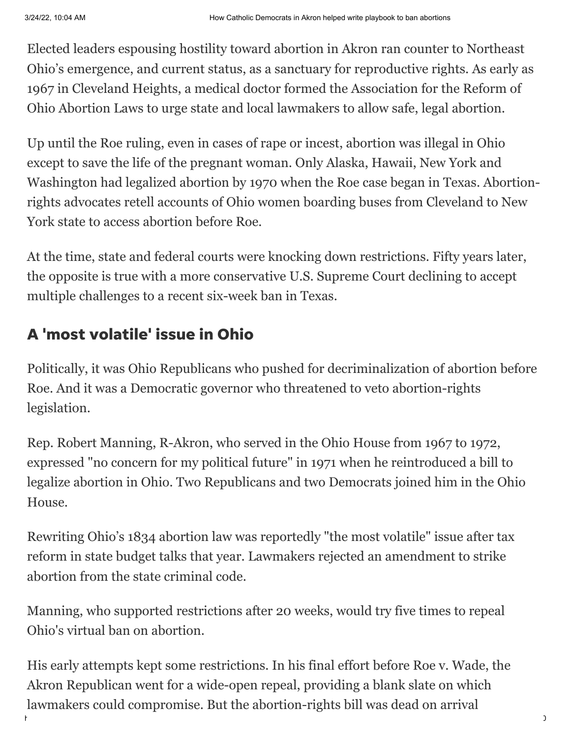Elected leaders espousing hostility toward abortion in Akron ran counter to Northeast Ohio's emergence, and current status, as a sanctuary for reproductive rights. As early as 1967 in Cleveland Heights, a medical doctor formed the Association for the Reform of Ohio Abortion Laws to urge state and local lawmakers to allow safe, legal abortion.

Up until the Roe ruling, even in cases of rape or incest, abortion was illegal in Ohio except to save the life of the pregnant woman. Only Alaska, Hawaii, New York and Washington had legalized abortion by 1970 when the Roe case began in Texas. Abortionrights advocates retell accounts of Ohio women boarding buses from Cleveland to New York state to access abortion before Roe.

At the time, state and federal courts were knocking down restrictions. Fifty years later, the opposite is true with a more conservative U.S. Supreme Court declining to accept multiple challenges to a recent six-week ban in Texas.

#### A 'most volatile' issue in Ohio

Politically, it was Ohio Republicans who pushed for decriminalization of abortion before Roe. And it was a Democratic governor who threatened to veto abortion-rights legislation.

Rep. Robert Manning, R-Akron, who served in the Ohio House from 1967 to 1972, expressed "no concern for my political future" in 1971 when he reintroduced a bill to legalize abortion in Ohio. Two Republicans and two Democrats joined him in the Ohio House.

Rewriting Ohio's 1834 abortion law was reportedly "the most volatile" issue after tax reform in state budget talks that year. Lawmakers rejected an amendment to strike abortion from the state criminal code.

Manning, who supported restrictions after 20 weeks, would try five times to repeal Ohio's virtual ban on abortion.

https://www.beaconjournal.com/story/news/2022/03/24/how-catholic-democrats-akron-helped-write-conservative-playbook-ban-abortions-in-1970-s/7… 5/10 His early attempts kept some restrictions. In his final effort before Roe v. Wade, the Akron Republican went for a wide-open repeal, providing a blank slate on which lawmakers could compromise. But the abortion-rights bill was dead on arrival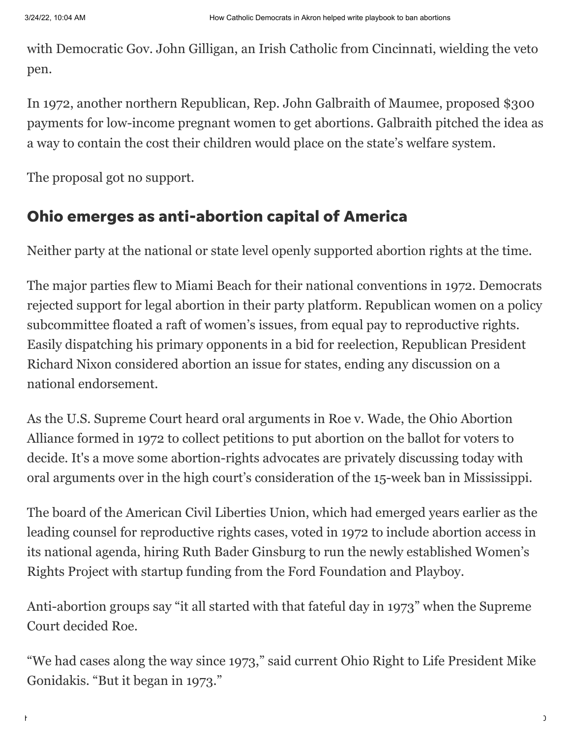with Democratic Gov. John Gilligan, an Irish Catholic from Cincinnati, wielding the veto pen.

In 1972, another northern Republican, Rep. John Galbraith of Maumee, proposed \$300 payments for low-income pregnant women to get abortions. Galbraith pitched the idea as a way to contain the cost their children would place on the state's welfare system.

The [proposal](https://www.newspapers.com/clip/96168275/) got no support.

#### Ohio emerges as anti-abortion capital of America

Neither party at the national or state level openly supported abortion rights at the time.

The major parties flew to Miami Beach for their national conventions in 1972. Democrats rejected support for legal abortion in their party platform. Republican women on a policy subcommittee floated a raft of women's issues, from equal pay to reproductive rights. Easily dispatching his primary opponents in a bid for reelection, Republican President Richard Nixon considered abortion an issue for states, ending any discussion on a national endorsement.

As the U.S. Supreme Court heard oral arguments in Roe v. Wade, the Ohio Abortion Alliance formed in 1972 to collect petitions to put abortion on the ballot for voters to decide. It's a move some abortion-rights advocates are privately discussing today with oral arguments over in the high court's consideration of the 15-week ban in Mississippi.

The board of the American Civil Liberties Union, which had emerged years earlier as the leading counsel for reproductive rights cases, voted in 1972 to include abortion access in its national agenda, hiring Ruth Bader Ginsburg to run the newly established Women's Rights Project with startup funding from the Ford Foundation and Playboy.

Anti-abortion groups say "it all started with that fateful day in 1973" when the Supreme Court decided Roe.

"We had cases along the way since 1973," said current Ohio Right to Life President Mike Gonidakis. "But it began in 1973."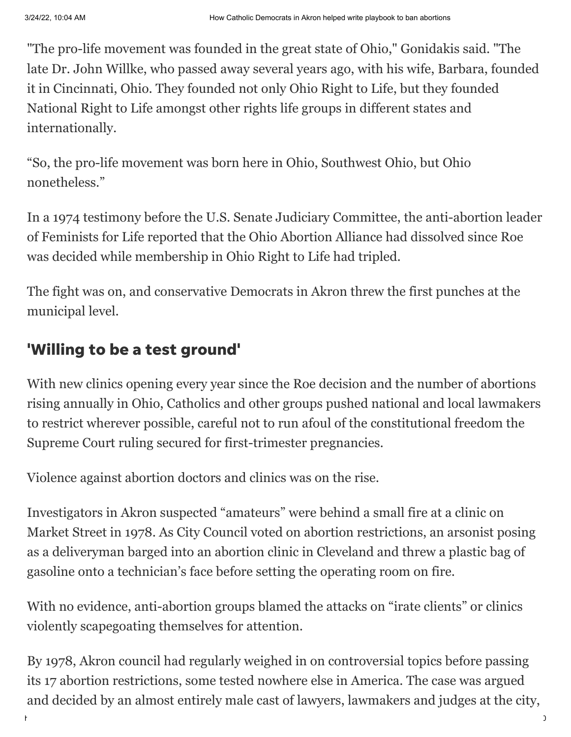"The pro-life movement was founded in the great state of Ohio," Gonidakis said. "The late Dr. John Willke, who passed away several years ago, with his wife, Barbara, founded it in Cincinnati, Ohio. They founded not only Ohio Right to Life, but they founded National Right to Life amongst other rights life groups in different states and internationally.

"So, the pro-life movement was born here in Ohio, Southwest Ohio, but Ohio nonetheless."

In a 1974 testimony before the U.S. Senate Judiciary Committee, the anti-abortion leader of Feminists for Life reported that the Ohio Abortion Alliance had dissolved since Roe was decided while membership in Ohio Right to Life had tripled.

The fight was on, and conservative Democrats in Akron threw the first punches at the municipal level.

### 'Willing to be a test ground'

With new clinics opening every year since the Roe decision and the number of abortions rising annually in Ohio, Catholics and other groups pushed national and local lawmakers to restrict wherever possible, careful not to run afoul of the constitutional freedom the Supreme Court ruling secured for first-trimester pregnancies.

Violence against abortion doctors and clinics was on the rise.

Investigators in Akron suspected "amateurs" were behind a small fire at a clinic on Market Street in 1978. As City Council voted on abortion restrictions, an arsonist posing as a deliveryman barged into an abortion clinic in Cleveland and threw a plastic bag of gasoline onto a technician's face before setting the operating room on fire.

With no evidence, anti-abortion groups blamed the attacks on "irate clients" or clinics violently scapegoating themselves for attention.

By 1978, Akron council had regularly weighed in on controversial topics before passing its 17 abortion restrictions, some tested nowhere else in America. The case was argued and decided by an almost entirely male cast of lawyers, lawmakers and judges at the city,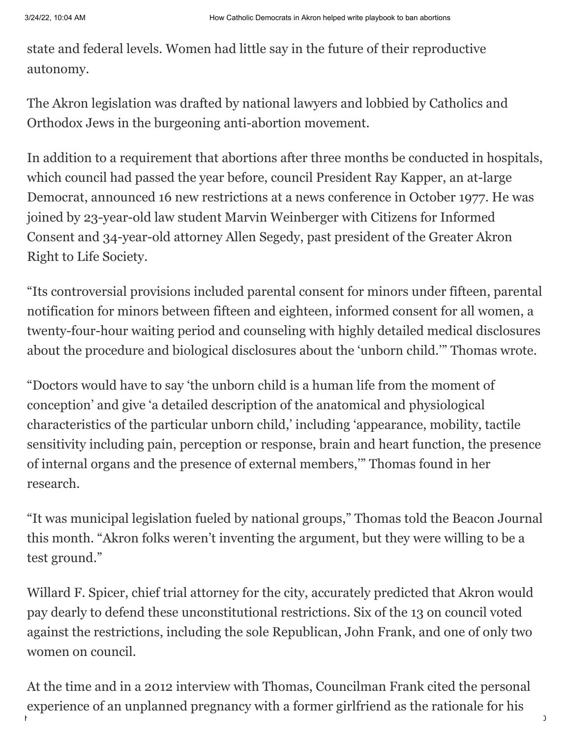state and federal levels. Women had little say in the future of their reproductive autonomy.

The Akron legislation was drafted by national lawyers and lobbied by Catholics and Orthodox Jews in the burgeoning anti-abortion movement.

In addition to a requirement that abortions after three months be conducted in hospitals, which council had passed the year before, council President Ray Kapper, an at-large Democrat, announced 16 new restrictions at a news conference in October 1977. He was joined by 23-year-old law student Marvin Weinberger with Citizens for Informed Consent and 34-year-old attorney Allen Segedy, past president of the Greater Akron Right to Life Society.

"Its controversial provisions included parental consent for minors under fifteen, parental notification for minors between fifteen and eighteen, informed consent for all women, a twenty-four-hour waiting period and counseling with highly detailed medical disclosures about the procedure and biological disclosures about the 'unborn child.'" Thomas wrote.

"Doctors would have to say 'the unborn child is a human life from the moment of conception' and give 'a detailed description of the anatomical and physiological characteristics of the particular unborn child,' including 'appearance, mobility, tactile sensitivity including pain, perception or response, brain and heart function, the presence of internal organs and the presence of external members,'" Thomas found in her research.

"It was municipal legislation fueled by national groups," Thomas told the Beacon Journal this month. "Akron folks weren't inventing the argument, but they were willing to be a test ground."

Willard F. Spicer, chief trial attorney for the city, accurately predicted that Akron would pay dearly to defend these unconstitutional restrictions. Six of the 13 on council voted against the restrictions, including the sole Republican, John Frank, and one of only two women on council.

https://www.beaconjournal.com/story/news/2022/03/24/how-catholic-democrats-akron-helped-write-conservative-playbook-ban-abortions-in-1970-s/7… 8/10 At the time and in a 2012 interview with Thomas, Councilman Frank cited the personal experience of an unplanned pregnancy with a former girlfriend as the rationale for his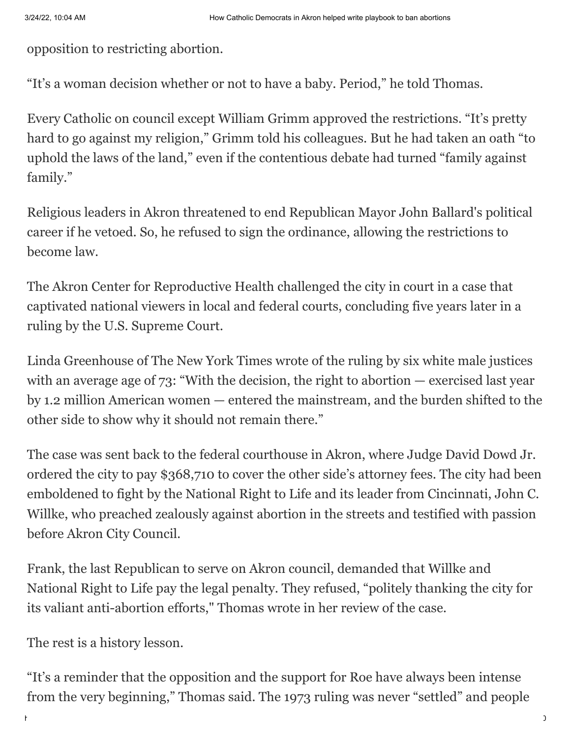opposition to restricting abortion.

"It's a woman decision whether or not to have a baby. Period," he told Thomas.

Every Catholic on council except William Grimm approved the restrictions. "It's pretty hard to go against my religion," Grimm told his colleagues. But he had taken an oath "to uphold the laws of the land," even if the contentious debate had turned "family against family."

Religious leaders in Akron threatened to end Republican Mayor John Ballard's political career if he vetoed. So, he refused to sign the ordinance, allowing the restrictions to become law.

The Akron Center for Reproductive Health challenged the city in court in a case that captivated national viewers in local and federal courts, concluding five years later in a ruling by the U.S. Supreme Court.

Linda Greenhouse of The New York Times wrote of the ruling by six white male justices with an average age of 73: "With the decision, the right to abortion — exercised last year by 1.2 million American women — entered the mainstream, and the burden shifted to the other side to show why it should not remain there."

The case was sent back to the federal courthouse in Akron, where Judge David Dowd Jr. ordered the city to pay \$368,710 to cover the other side's attorney fees. The city had been emboldened to fight by the National Right to Life and its leader from Cincinnati, John C. Willke, who preached zealously against abortion in the streets and testified with passion before Akron City Council.

Frank, the last Republican to serve on Akron council, demanded that Willke and National Right to Life pay the legal penalty. They refused, "politely thanking the city for its valiant anti-abortion efforts," Thomas wrote in her review of the case.

The rest is a history lesson.

"It's a reminder that the opposition and the support for Roe have always been intense from the very beginning," Thomas said. The 1973 ruling was never "settled" and people